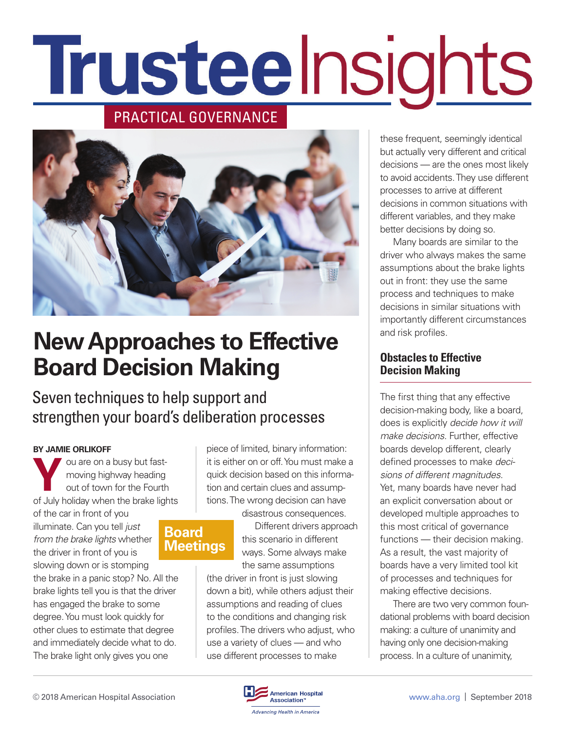# Trusteelnsights

### PRACTICAL GOVERNANCE



## **New Approaches to Effective Board Decision Making**

Seven techniques to help support and strengthen your board's deliberation processes

#### **BY JAMIE ORLIKOFF**

ou are on a busy but fastmoving highway heading out of town for the Fourth of July holiday when the brake lights

of the car in front of you illuminate. Can you tell *just from the brake lights* whether the driver in front of you is slowing down or is stomping

the brake in a panic stop? No. All the brake lights tell you is that the driver has engaged the brake to some degree. You must look quickly for other clues to estimate that degree and immediately decide what to do. The brake light only gives you one

piece of limited, binary information: it is either on or off. You must make a quick decision based on this information and certain clues and assumptions. The wrong decision can have

## **Board Meetings**

disastrous consequences. Different drivers approach this scenario in different ways. Some always make the same assumptions

(the driver in front is just slowing down a bit), while others adjust their assumptions and reading of clues to the conditions and changing risk profiles. The drivers who adjust, who use a variety of clues — and who use different processes to make

these frequent, seemingly identical but actually very different and critical decisions — are the ones most likely to avoid accidents. They use different processes to arrive at different decisions in common situations with different variables, and they make better decisions by doing so.

Many boards are similar to the driver who always makes the same assumptions about the brake lights out in front: they use the same process and techniques to make decisions in similar situations with importantly different circumstances and risk profiles.

#### **Obstacles to Effective Decision Making**

The first thing that any effective decision-making body, like a board, does is explicitly *decide how it will make decisions.* Further, effective boards develop different, clearly defined processes to make *decisions of different magnitudes.* Yet, many boards have never had an explicit conversation about or developed multiple approaches to this most critical of governance functions — their decision making. As a result, the vast majority of boards have a very limited tool kit of processes and techniques for making effective decisions.

There are two very common foundational problems with board decision making: a culture of unanimity and having only one decision-making process. In a culture of unanimity,

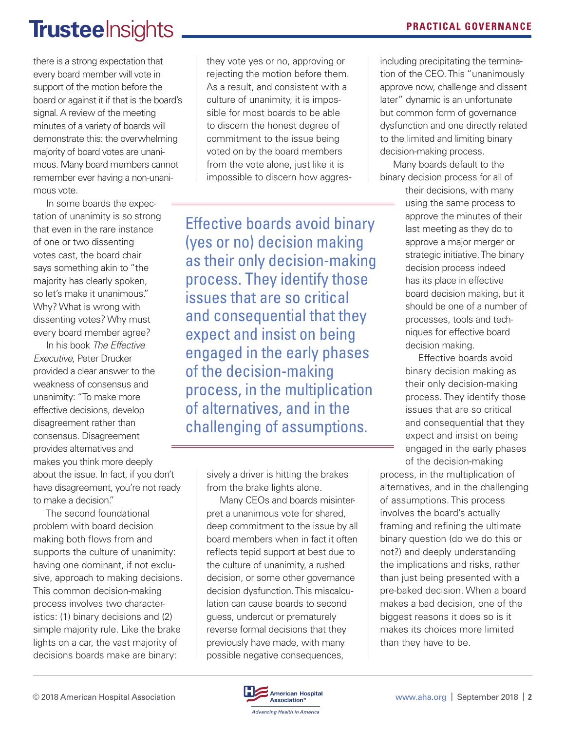## TrusteeInsights **PRACTICAL GOVERNANCE**

there is a strong expectation that every board member will vote in support of the motion before the board or against it if that is the board's signal. A review of the meeting minutes of a variety of boards will demonstrate this: the overwhelming majority of board votes are unanimous. Many board members cannot remember ever having a non-unanimous vote.

In some boards the expectation of unanimity is so strong that even in the rare instance of one or two dissenting votes cast, the board chair says something akin to "the majority has clearly spoken, so let's make it unanimous." Why? What is wrong with dissenting votes? Why must every board member agree?

In his book *The Effective Executive,* Peter Drucker provided a clear answer to the weakness of consensus and unanimity: "To make more effective decisions, develop disagreement rather than consensus. Disagreement provides alternatives and makes you think more deeply about the issue. In fact, if you don't have disagreement, you're not ready to make a decision."

The second foundational problem with board decision making both flows from and supports the culture of unanimity: having one dominant, if not exclusive, approach to making decisions. This common decision-making process involves two characteristics: (1) binary decisions and (2) simple majority rule. Like the brake lights on a car, the vast majority of decisions boards make are binary:

they vote yes or no, approving or rejecting the motion before them. As a result, and consistent with a culture of unanimity, it is impossible for most boards to be able to discern the honest degree of commitment to the issue being voted on by the board members from the vote alone, just like it is impossible to discern how aggres-

Effective boards avoid binary (yes or no) decision making as their only decision-making process. They identify those issues that are so critical and consequential that they expect and insist on being engaged in the early phases of the decision-making process, in the multiplication of alternatives, and in the challenging of assumptions.

> sively a driver is hitting the brakes from the brake lights alone.

Many CEOs and boards misinterpret a unanimous vote for shared, deep commitment to the issue by all board members when in fact it often reflects tepid support at best due to the culture of unanimity, a rushed decision, or some other governance decision dysfunction. This miscalculation can cause boards to second guess, undercut or prematurely reverse formal decisions that they previously have made, with many possible negative consequences,

including precipitating the termination of the CEO. This "unanimously approve now, challenge and dissent later" dynamic is an unfortunate but common form of governance dysfunction and one directly related to the limited and limiting binary decision-making process.

Many boards default to the binary decision process for all of

their decisions, with many using the same process to approve the minutes of their last meeting as they do to approve a major merger or strategic initiative. The binary decision process indeed has its place in effective board decision making, but it should be one of a number of processes, tools and techniques for effective board decision making.

Effective boards avoid binary decision making as their only decision-making process. They identify those issues that are so critical and consequential that they expect and insist on being engaged in the early phases of the decision-making

process, in the multiplication of alternatives, and in the challenging of assumptions. This process involves the board's actually framing and refining the ultimate binary question (do we do this or not?) and deeply understanding the implications and risks, rather than just being presented with a pre-baked decision. When a board makes a bad decision, one of the biggest reasons it does so is it makes its choices more limited than they have to be.

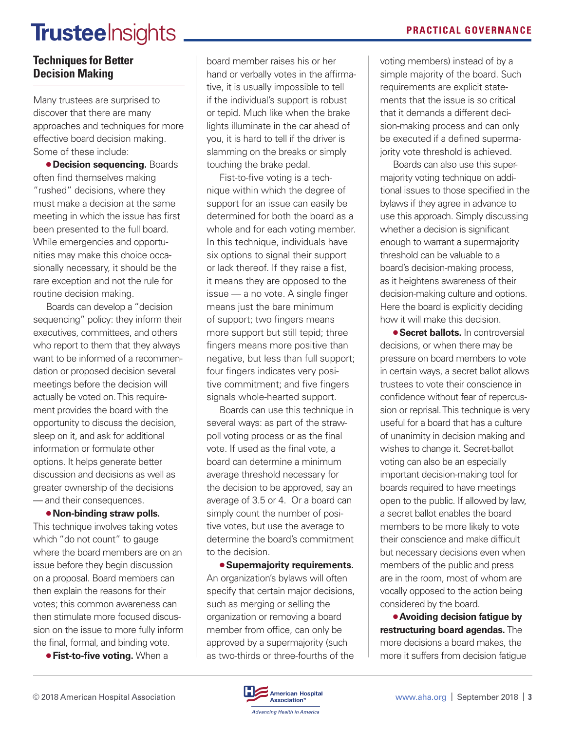## **Trustee**Insights **PRACTICAL GOVERNANCE**

#### **Techniques for Better Decision Making**

Many trustees are surprised to discover that there are many approaches and techniques for more effective board decision making. Some of these include:

**• Decision sequencing. Boards** often find themselves making "rushed" decisions, where they must make a decision at the same meeting in which the issue has first been presented to the full board. While emergencies and opportunities may make this choice occasionally necessary, it should be the rare exception and not the rule for routine decision making.

Boards can develop a "decision sequencing" policy: they inform their executives, committees, and others who report to them that they always want to be informed of a recommendation or proposed decision several meetings before the decision will actually be voted on. This requirement provides the board with the opportunity to discuss the decision, sleep on it, and ask for additional information or formulate other options. It helps generate better discussion and decisions as well as greater ownership of the decisions — and their consequences.

● **Non-binding straw polls.**  This technique involves taking votes which "do not count" to gauge where the board members are on an issue before they begin discussion on a proposal. Board members can then explain the reasons for their votes; this common awareness can then stimulate more focused discussion on the issue to more fully inform the final, formal, and binding vote.

**• Fist-to-five voting.** When a

board member raises his or her hand or verbally votes in the affirmative, it is usually impossible to tell if the individual's support is robust or tepid. Much like when the brake lights illuminate in the car ahead of you, it is hard to tell if the driver is slamming on the breaks or simply touching the brake pedal.

Fist-to-five voting is a technique within which the degree of support for an issue can easily be determined for both the board as a whole and for each voting member. In this technique, individuals have six options to signal their support or lack thereof. If they raise a fist, it means they are opposed to the issue — a no vote. A single finger means just the bare minimum of support; two fingers means more support but still tepid; three fingers means more positive than negative, but less than full support; four fingers indicates very positive commitment; and five fingers signals whole-hearted support.

Boards can use this technique in several ways: as part of the strawpoll voting process or as the final vote. If used as the final vote, a board can determine a minimum average threshold necessary for the decision to be approved, say an average of 3.5 or 4. Or a board can simply count the number of positive votes, but use the average to determine the board's commitment to the decision.

● **Supermajority requirements.**  An organization's bylaws will often specify that certain major decisions, such as merging or selling the organization or removing a board member from office, can only be approved by a supermajority (such as two-thirds or three-fourths of the

voting members) instead of by a simple majority of the board. Such requirements are explicit statements that the issue is so critical that it demands a different decision-making process and can only be executed if a defined supermajority vote threshold is achieved.

Boards can also use this supermajority voting technique on additional issues to those specified in the bylaws if they agree in advance to use this approach. Simply discussing whether a decision is significant enough to warrant a supermajority threshold can be valuable to a board's decision-making process, as it heightens awareness of their decision-making culture and options. Here the board is explicitly deciding how it will make this decision.

● **Secret ballots.** In controversial decisions, or when there may be pressure on board members to vote in certain ways, a secret ballot allows trustees to vote their conscience in confidence without fear of repercussion or reprisal. This technique is very useful for a board that has a culture of unanimity in decision making and wishes to change it. Secret-ballot voting can also be an especially important decision-making tool for boards required to have meetings open to the public. If allowed by law, a secret ballot enables the board members to be more likely to vote their conscience and make difficult but necessary decisions even when members of the public and press are in the room, most of whom are vocally opposed to the action being considered by the board.

● **Avoiding decision fatigue by restructuring board agendas.** The more decisions a board makes, the more it suffers from decision fatigue